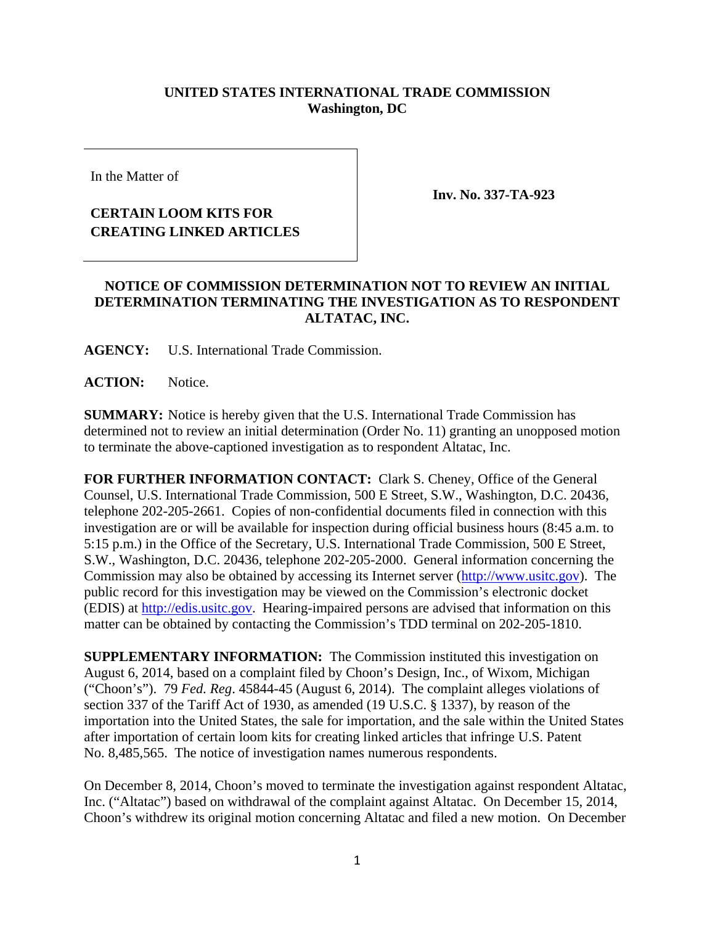## **UNITED STATES INTERNATIONAL TRADE COMMISSION Washington, DC**

In the Matter of

## **CERTAIN LOOM KITS FOR CREATING LINKED ARTICLES**

**Inv. No. 337-TA-923** 

## **NOTICE OF COMMISSION DETERMINATION NOT TO REVIEW AN INITIAL DETERMINATION TERMINATING THE INVESTIGATION AS TO RESPONDENT ALTATAC, INC.**

**AGENCY:** U.S. International Trade Commission.

**ACTION:** Notice.

**SUMMARY:** Notice is hereby given that the U.S. International Trade Commission has determined not to review an initial determination (Order No. 11) granting an unopposed motion to terminate the above-captioned investigation as to respondent Altatac, Inc.

**FOR FURTHER INFORMATION CONTACT:** Clark S. Cheney, Office of the General Counsel, U.S. International Trade Commission, 500 E Street, S.W., Washington, D.C. 20436, telephone 202-205-2661. Copies of non-confidential documents filed in connection with this investigation are or will be available for inspection during official business hours (8:45 a.m. to 5:15 p.m.) in the Office of the Secretary, U.S. International Trade Commission, 500 E Street, S.W., Washington, D.C. 20436, telephone 202-205-2000. General information concerning the Commission may also be obtained by accessing its Internet server (http://www.usitc.gov). The public record for this investigation may be viewed on the Commission's electronic docket (EDIS) at http://edis.usitc.gov. Hearing-impaired persons are advised that information on this matter can be obtained by contacting the Commission's TDD terminal on 202-205-1810.

**SUPPLEMENTARY INFORMATION:** The Commission instituted this investigation on August 6, 2014, based on a complaint filed by Choon's Design, Inc., of Wixom, Michigan ("Choon's"). 79 *Fed. Reg*. 45844-45 (August 6, 2014). The complaint alleges violations of section 337 of the Tariff Act of 1930, as amended (19 U.S.C. § 1337), by reason of the importation into the United States, the sale for importation, and the sale within the United States after importation of certain loom kits for creating linked articles that infringe U.S. Patent No. 8,485,565. The notice of investigation names numerous respondents.

On December 8, 2014, Choon's moved to terminate the investigation against respondent Altatac, Inc. ("Altatac") based on withdrawal of the complaint against Altatac. On December 15, 2014, Choon's withdrew its original motion concerning Altatac and filed a new motion. On December